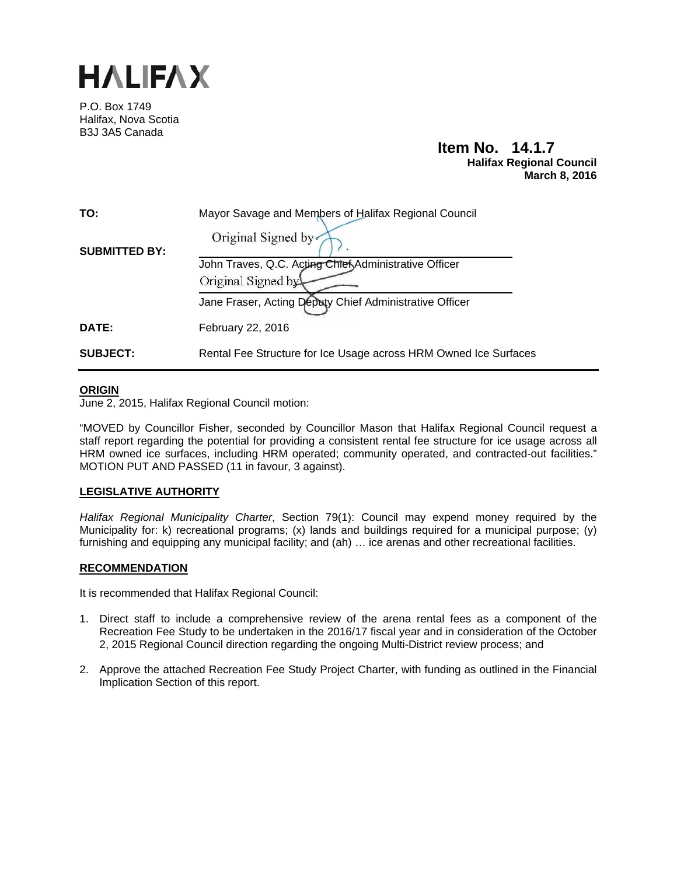

P.O. Box 1749 Halifax, Nova Scotia B3J 3A5 Canada

## **Item No. 14.1.7 Halifax Regional Council March 8, 2016**

| TO:                  | Mayor Savage and Members of Halifax Regional Council             |
|----------------------|------------------------------------------------------------------|
| <b>SUBMITTED BY:</b> | Original Signed by                                               |
|                      | John Traves, Q.C. Acting Chief Administrative Officer            |
|                      | Original Signed by                                               |
|                      | Jane Fraser, Acting Deputy Chief Administrative Officer          |
| <b>DATE:</b>         | February 22, 2016                                                |
| <b>SUBJECT:</b>      | Rental Fee Structure for Ice Usage across HRM Owned Ice Surfaces |

#### **ORIGIN**

June 2, 2015, Halifax Regional Council motion:

"MOVED by Councillor Fisher, seconded by Councillor Mason that Halifax Regional Council request a staff report regarding the potential for providing a consistent rental fee structure for ice usage across all HRM owned ice surfaces, including HRM operated; community operated, and contracted-out facilities." MOTION PUT AND PASSED (11 in favour, 3 against).

## **LEGISLATIVE AUTHORITY**

*Halifax Regional Municipality Charter*, Section 79(1): Council may expend money required by the Municipality for: k) recreational programs; (x) lands and buildings required for a municipal purpose; (y) furnishing and equipping any municipal facility; and (ah) … ice arenas and other recreational facilities.

#### **RECOMMENDATION**

It is recommended that Halifax Regional Council:

- 1. Direct staff to include a comprehensive review of the arena rental fees as a component of the Recreation Fee Study to be undertaken in the 2016/17 fiscal year and in consideration of the October 2, 2015 Regional Council direction regarding the ongoing Multi-District review process; and
- 2. Approve the attached Recreation Fee Study Project Charter, with funding as outlined in the Financial Implication Section of this report.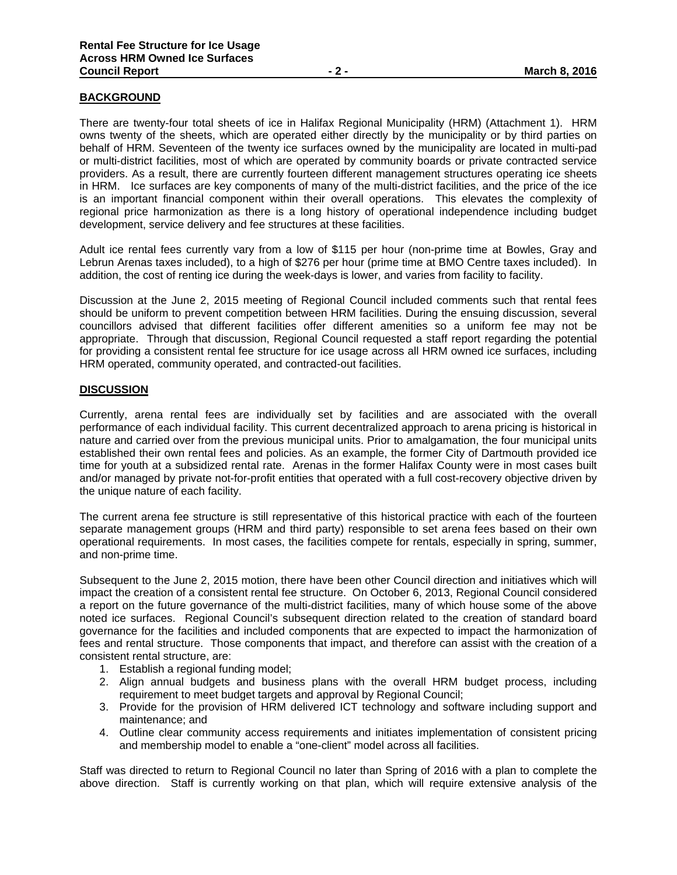### **BACKGROUND**

There are twenty-four total sheets of ice in Halifax Regional Municipality (HRM) (Attachment 1). HRM owns twenty of the sheets, which are operated either directly by the municipality or by third parties on behalf of HRM. Seventeen of the twenty ice surfaces owned by the municipality are located in multi-pad or multi-district facilities, most of which are operated by community boards or private contracted service providers. As a result, there are currently fourteen different management structures operating ice sheets in HRM. Ice surfaces are key components of many of the multi-district facilities, and the price of the ice is an important financial component within their overall operations. This elevates the complexity of regional price harmonization as there is a long history of operational independence including budget development, service delivery and fee structures at these facilities.

Adult ice rental fees currently vary from a low of \$115 per hour (non-prime time at Bowles, Gray and Lebrun Arenas taxes included), to a high of \$276 per hour (prime time at BMO Centre taxes included). In addition, the cost of renting ice during the week-days is lower, and varies from facility to facility.

Discussion at the June 2, 2015 meeting of Regional Council included comments such that rental fees should be uniform to prevent competition between HRM facilities. During the ensuing discussion, several councillors advised that different facilities offer different amenities so a uniform fee may not be appropriate. Through that discussion, Regional Council requested a staff report regarding the potential for providing a consistent rental fee structure for ice usage across all HRM owned ice surfaces, including HRM operated, community operated, and contracted-out facilities.

#### **DISCUSSION**

Currently, arena rental fees are individually set by facilities and are associated with the overall performance of each individual facility. This current decentralized approach to arena pricing is historical in nature and carried over from the previous municipal units. Prior to amalgamation, the four municipal units established their own rental fees and policies. As an example, the former City of Dartmouth provided ice time for youth at a subsidized rental rate. Arenas in the former Halifax County were in most cases built and/or managed by private not-for-profit entities that operated with a full cost-recovery objective driven by the unique nature of each facility.

The current arena fee structure is still representative of this historical practice with each of the fourteen separate management groups (HRM and third party) responsible to set arena fees based on their own operational requirements. In most cases, the facilities compete for rentals, especially in spring, summer, and non-prime time.

Subsequent to the June 2, 2015 motion, there have been other Council direction and initiatives which will impact the creation of a consistent rental fee structure. On October 6, 2013, Regional Council considered a report on the future governance of the multi-district facilities, many of which house some of the above noted ice surfaces. Regional Council's subsequent direction related to the creation of standard board governance for the facilities and included components that are expected to impact the harmonization of fees and rental structure. Those components that impact, and therefore can assist with the creation of a consistent rental structure, are:

- 1. Establish a regional funding model;
- 2. Align annual budgets and business plans with the overall HRM budget process, including requirement to meet budget targets and approval by Regional Council;
- 3. Provide for the provision of HRM delivered ICT technology and software including support and maintenance; and
- 4. Outline clear community access requirements and initiates implementation of consistent pricing and membership model to enable a "one-client" model across all facilities.

Staff was directed to return to Regional Council no later than Spring of 2016 with a plan to complete the above direction. Staff is currently working on that plan, which will require extensive analysis of the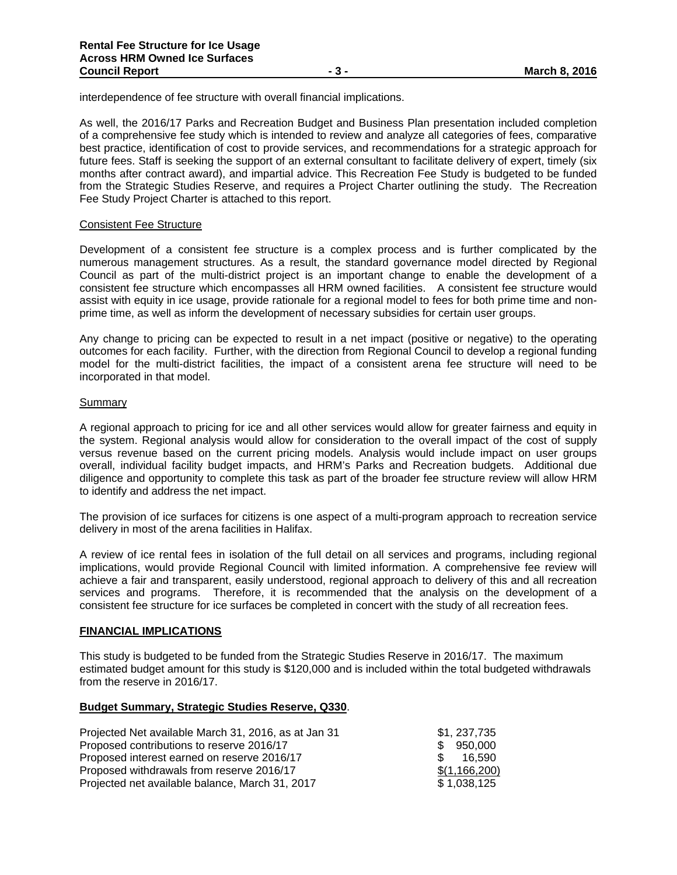interdependence of fee structure with overall financial implications.

As well, the 2016/17 Parks and Recreation Budget and Business Plan presentation included completion of a comprehensive fee study which is intended to review and analyze all categories of fees, comparative best practice, identification of cost to provide services, and recommendations for a strategic approach for future fees. Staff is seeking the support of an external consultant to facilitate delivery of expert, timely (six months after contract award), and impartial advice. This Recreation Fee Study is budgeted to be funded from the Strategic Studies Reserve, and requires a Project Charter outlining the study. The Recreation Fee Study Project Charter is attached to this report.

#### Consistent Fee Structure

Development of a consistent fee structure is a complex process and is further complicated by the numerous management structures. As a result, the standard governance model directed by Regional Council as part of the multi-district project is an important change to enable the development of a consistent fee structure which encompasses all HRM owned facilities. A consistent fee structure would assist with equity in ice usage, provide rationale for a regional model to fees for both prime time and nonprime time, as well as inform the development of necessary subsidies for certain user groups.

Any change to pricing can be expected to result in a net impact (positive or negative) to the operating outcomes for each facility. Further, with the direction from Regional Council to develop a regional funding model for the multi-district facilities, the impact of a consistent arena fee structure will need to be incorporated in that model.

#### Summary

A regional approach to pricing for ice and all other services would allow for greater fairness and equity in the system. Regional analysis would allow for consideration to the overall impact of the cost of supply versus revenue based on the current pricing models. Analysis would include impact on user groups overall, individual facility budget impacts, and HRM's Parks and Recreation budgets. Additional due diligence and opportunity to complete this task as part of the broader fee structure review will allow HRM to identify and address the net impact.

The provision of ice surfaces for citizens is one aspect of a multi-program approach to recreation service delivery in most of the arena facilities in Halifax.

A review of ice rental fees in isolation of the full detail on all services and programs, including regional implications, would provide Regional Council with limited information. A comprehensive fee review will achieve a fair and transparent, easily understood, regional approach to delivery of this and all recreation services and programs. Therefore, it is recommended that the analysis on the development of a consistent fee structure for ice surfaces be completed in concert with the study of all recreation fees.

#### **FINANCIAL IMPLICATIONS**

This study is budgeted to be funded from the Strategic Studies Reserve in 2016/17. The maximum estimated budget amount for this study is \$120,000 and is included within the total budgeted withdrawals from the reserve in 2016/17.

#### **Budget Summary, Strategic Studies Reserve, Q330**.

| Projected Net available March 31, 2016, as at Jan 31 | \$1, 237, 735 |
|------------------------------------------------------|---------------|
| Proposed contributions to reserve 2016/17            | \$950,000     |
| Proposed interest earned on reserve 2016/17          | 16.590<br>S.  |
| Proposed withdrawals from reserve 2016/17            | \$(1,166,200) |
| Projected net available balance, March 31, 2017      | \$1.038.125   |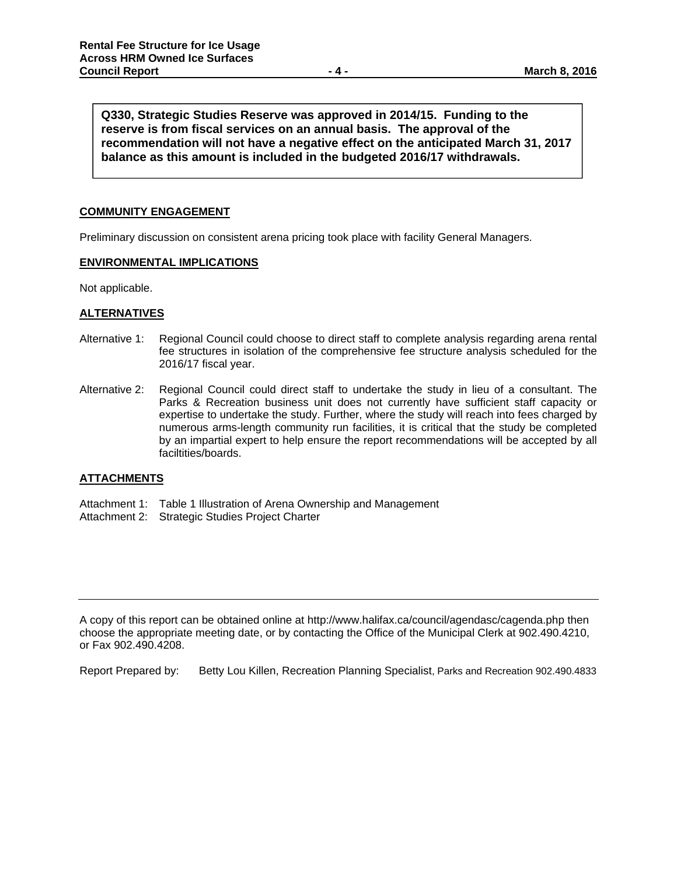**Q330, Strategic Studies Reserve was approved in 2014/15. Funding to the reserve is from fiscal services on an annual basis. The approval of the recommendation will not have a negative effect on the anticipated March 31, 2017 balance as this amount is included in the budgeted 2016/17 withdrawals.** 

#### **COMMUNITY ENGAGEMENT**

Preliminary discussion on consistent arena pricing took place with facility General Managers.

#### **ENVIRONMENTAL IMPLICATIONS**

Not applicable.

#### **ALTERNATIVES**

- Alternative 1: Regional Council could choose to direct staff to complete analysis regarding arena rental fee structures in isolation of the comprehensive fee structure analysis scheduled for the 2016/17 fiscal year.
- Alternative 2: Regional Council could direct staff to undertake the study in lieu of a consultant. The Parks & Recreation business unit does not currently have sufficient staff capacity or expertise to undertake the study. Further, where the study will reach into fees charged by numerous arms-length community run facilities, it is critical that the study be completed by an impartial expert to help ensure the report recommendations will be accepted by all faciltities/boards.

#### **ATTACHMENTS**

- Attachment 1: Table 1 Illustration of Arena Ownership and Management
- Attachment 2: Strategic Studies Project Charter

A copy of this report can be obtained online at http://www.halifax.ca/council/agendasc/cagenda.php then choose the appropriate meeting date, or by contacting the Office of the Municipal Clerk at 902.490.4210, or Fax 902.490.4208.

Report Prepared by: Betty Lou Killen, Recreation Planning Specialist, Parks and Recreation 902.490.4833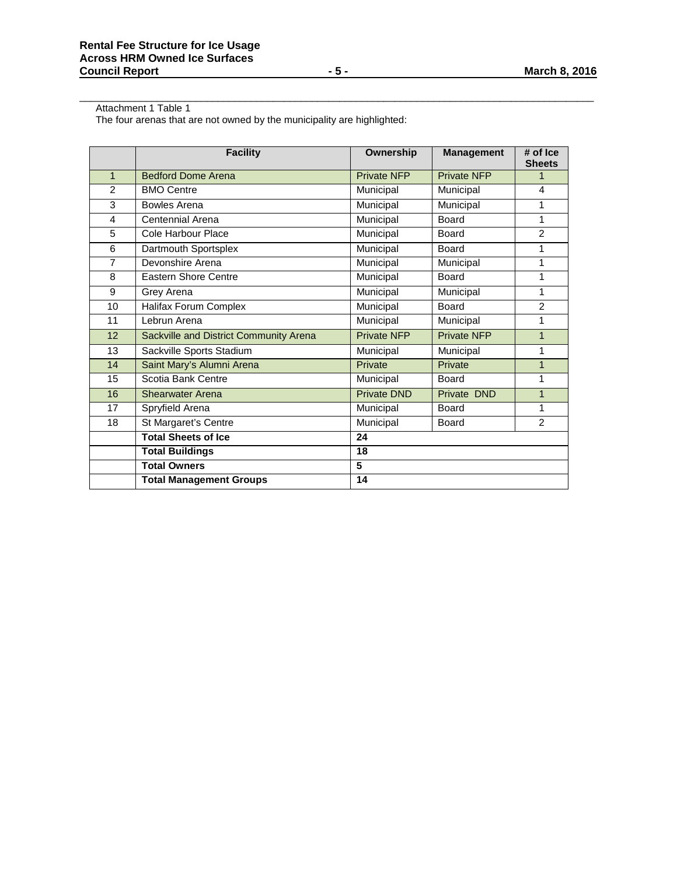Attachment 1 Table 1

The four arenas that are not owned by the municipality are highlighted:

|                | <b>Facility</b>                        | Ownership          | <b>Management</b>  | $#$ of $ ce $<br><b>Sheets</b> |
|----------------|----------------------------------------|--------------------|--------------------|--------------------------------|
| $\mathbf{1}$   | <b>Bedford Dome Arena</b>              | Private NFP        | Private NFP        | 1                              |
| $\mathfrak{p}$ | <b>BMO Centre</b>                      | Municipal          | Municipal          | 4                              |
| 3              | Bowles Arena                           | Municipal          | Municipal          | 1                              |
| 4              | Centennial Arena                       | Municipal          | <b>Board</b>       | 1                              |
| 5              | Cole Harbour Place                     | Municipal          | Board              | 2                              |
| 6              | Dartmouth Sportsplex                   | Municipal          | Board              | 1                              |
| $\overline{7}$ | Devonshire Arena                       | Municipal          | Municipal          | 1                              |
| 8              | <b>Eastern Shore Centre</b>            | Municipal          | Board              | 1                              |
| 9              | Grey Arena                             | Municipal          | Municipal          | 1                              |
| 10             | <b>Halifax Forum Complex</b>           | Municipal          | Board              | $\mathcal{P}$                  |
| 11             | Lebrun Arena                           | Municipal          | Municipal          | 1                              |
| 12             | Sackville and District Community Arena | <b>Private NFP</b> | <b>Private NFP</b> | $\mathbf{1}$                   |
| 13             | Sackville Sports Stadium               | Municipal          | Municipal          | 1                              |
| 14             | Saint Mary's Alumni Arena              | Private            | Private            | $\overline{1}$                 |
| 15             | Scotia Bank Centre                     | Municipal          | Board              | 1                              |
| 16             | <b>Shearwater Arena</b>                | <b>Private DND</b> | Private DND        | $\overline{1}$                 |
| 17             | Spryfield Arena                        | Municipal          | Board              | 1                              |
| 18             | St Margaret's Centre                   | Municipal          | Board              | 2                              |
|                | <b>Total Sheets of Ice</b>             | 24                 |                    |                                |
|                | <b>Total Buildings</b>                 | 18                 |                    |                                |
|                | <b>Total Owners</b>                    | 5                  |                    |                                |
|                | <b>Total Management Groups</b>         | 14                 |                    |                                |

 $\overline{a}$  ,  $\overline{a}$  ,  $\overline{a}$  ,  $\overline{a}$  ,  $\overline{a}$  ,  $\overline{a}$  ,  $\overline{a}$  ,  $\overline{a}$  ,  $\overline{a}$  ,  $\overline{a}$  ,  $\overline{a}$  ,  $\overline{a}$  ,  $\overline{a}$  ,  $\overline{a}$  ,  $\overline{a}$  ,  $\overline{a}$  ,  $\overline{a}$  ,  $\overline{a}$  ,  $\overline{a}$  ,  $\overline{a}$  ,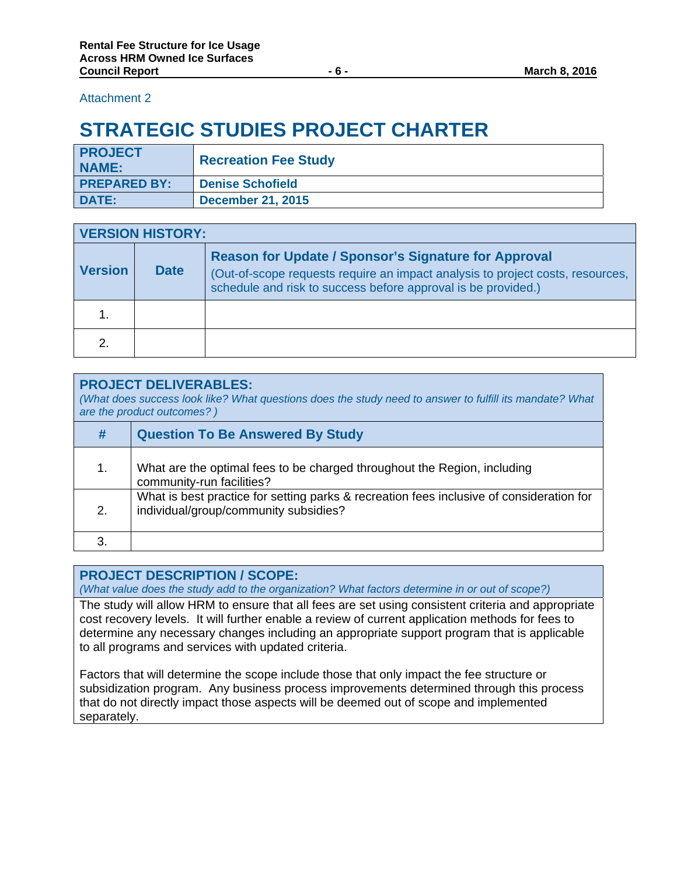## Attachment 2

# **STRATEGIC STUDIES PROJECT CHARTER**

| <b>PROJECT</b><br><b>NAME:</b> | <b>Recreation Fee Study</b> |
|--------------------------------|-----------------------------|
| <b>PREPARED BY:</b>            | <b>Denise Schofield</b>     |
| <b>DATE:</b>                   | <b>December 21, 2015</b>    |

| <b>VERSION HISTORY:</b> |             |                                                                                                                                                                                                                |
|-------------------------|-------------|----------------------------------------------------------------------------------------------------------------------------------------------------------------------------------------------------------------|
| <b>Version</b>          | <b>Date</b> | <b>Reason for Update / Sponsor's Signature for Approval</b><br>(Out-of-scope requests require an impact analysis to project costs, resources,<br>schedule and risk to success before approval is be provided.) |
|                         |             |                                                                                                                                                                                                                |
| 2.                      |             |                                                                                                                                                                                                                |

| <b>PROJECT DELIVERABLES:</b><br>(What does success look like? What questions does the study need to answer to fulfill its mandate? What<br>are the product outcomes?) |                                                                                                                                   |  |
|-----------------------------------------------------------------------------------------------------------------------------------------------------------------------|-----------------------------------------------------------------------------------------------------------------------------------|--|
| #                                                                                                                                                                     | <b>Question To Be Answered By Study</b>                                                                                           |  |
| 1.                                                                                                                                                                    | What are the optimal fees to be charged throughout the Region, including<br>community-run facilities?                             |  |
| 2.                                                                                                                                                                    | What is best practice for setting parks & recreation fees inclusive of consideration for<br>individual/group/community subsidies? |  |
|                                                                                                                                                                       |                                                                                                                                   |  |

# **PROJECT DESCRIPTION / SCOPE:**

*(What value does the study add to the organization? What factors determine in or out of scope?)* 

The study will allow HRM to ensure that all fees are set using consistent criteria and appropriate cost recovery levels. It will further enable a review of current application methods for fees to determine any necessary changes including an appropriate support program that is applicable to all programs and services with updated criteria.

Factors that will determine the scope include those that only impact the fee structure or subsidization program. Any business process improvements determined through this process that do not directly impact those aspects will be deemed out of scope and implemented separately.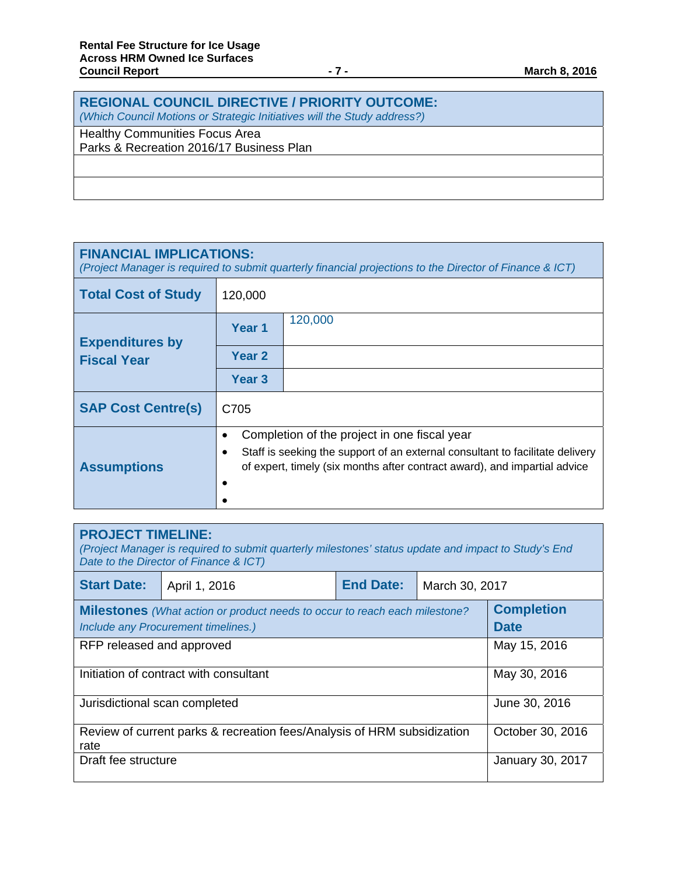| <b>REGIONAL COUNCIL DIRECTIVE / PRIORITY OUTCOME:</b><br>(Which Council Motions or Strategic Initiatives will the Study address?) |
|-----------------------------------------------------------------------------------------------------------------------------------|
| <b>Healthy Communities Focus Area</b><br>Parks & Recreation 2016/17 Business Plan                                                 |
|                                                                                                                                   |
|                                                                                                                                   |

| <b>FINANCIAL IMPLICATIONS:</b><br>(Project Manager is required to submit quarterly financial projections to the Director of Finance & ICT) |                                                                                                                                                                                                                                   |         |  |
|--------------------------------------------------------------------------------------------------------------------------------------------|-----------------------------------------------------------------------------------------------------------------------------------------------------------------------------------------------------------------------------------|---------|--|
| <b>Total Cost of Study</b>                                                                                                                 | 120,000                                                                                                                                                                                                                           |         |  |
| <b>Expenditures by</b>                                                                                                                     | Year <sub>1</sub>                                                                                                                                                                                                                 | 120,000 |  |
| <b>Fiscal Year</b>                                                                                                                         | Year 2                                                                                                                                                                                                                            |         |  |
|                                                                                                                                            | Year <sub>3</sub>                                                                                                                                                                                                                 |         |  |
| <b>SAP Cost Centre(s)</b>                                                                                                                  | C705                                                                                                                                                                                                                              |         |  |
| <b>Assumptions</b>                                                                                                                         | Completion of the project in one fiscal year<br>$\bullet$<br>Staff is seeking the support of an external consultant to facilitate delivery<br>٠<br>of expert, timely (six months after contract award), and impartial advice<br>٠ |         |  |

| <b>PROJECT TIMELINE:</b><br>(Project Manager is required to submit quarterly milestones' status update and impact to Study's End<br>Date to the Director of Finance & ICT) |               |                                    |                         |                                  |
|----------------------------------------------------------------------------------------------------------------------------------------------------------------------------|---------------|------------------------------------|-------------------------|----------------------------------|
| <b>Start Date:</b>                                                                                                                                                         | April 1, 2016 | <b>End Date:</b><br>March 30, 2017 |                         |                                  |
| <b>Milestones</b> (What action or product needs to occur to reach each milestone?<br>Include any Procurement timelines.)                                                   |               |                                    |                         | <b>Completion</b><br><b>Date</b> |
| May 15, 2016<br>RFP released and approved                                                                                                                                  |               |                                    |                         |                                  |
| Initiation of contract with consultant                                                                                                                                     |               |                                    | May 30, 2016            |                                  |
| June 30, 2016<br>Jurisdictional scan completed                                                                                                                             |               |                                    |                         |                                  |
| Review of current parks & recreation fees/Analysis of HRM subsidization<br>rate                                                                                            |               |                                    | October 30, 2016        |                                  |
| Draft fee structure                                                                                                                                                        |               |                                    | <b>January 30, 2017</b> |                                  |